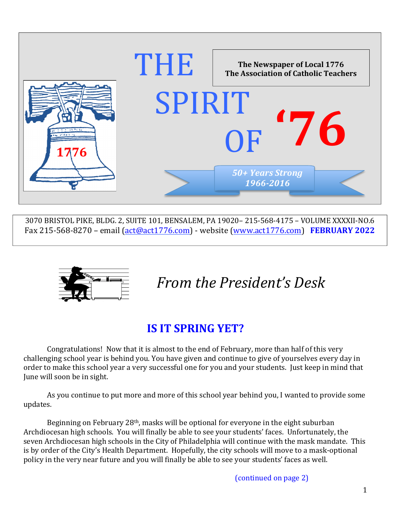

3070 BRISTOL PIKE, BLDG. 2, SUITE 101, BENSALEM, PA 19020- 215-568-4175 - VOLUME XXXXII-NO.6 Fax  $215-568-8270$  – email  $\left(\frac{act@act1776.com}{act@act1776.com}\right)$  - website  $\left(\frac{www.act1776.com}{est200}\right)$  **FEBRUARY 2022** 



# *From the President's Desk*

### **IS IT SPRING YET?**

Congratulations! Now that it is almost to the end of February, more than half of this very challenging school year is behind you. You have given and continue to give of yourselves every day in order to make this school year a very successful one for you and your students. Just keep in mind that June will soon be in sight.

As you continue to put more and more of this school year behind you, I wanted to provide some updates.

Beginning on February  $28<sup>th</sup>$ , masks will be optional for everyone in the eight suburban Archdiocesan high schools. You will finally be able to see your students' faces. Unfortunately, the seven Archdiocesan high schools in the City of Philadelphia will continue with the mask mandate. This is by order of the City's Health Department. Hopefully, the city schools will move to a mask-optional policy in the very near future and you will finally be able to see your students' faces as well.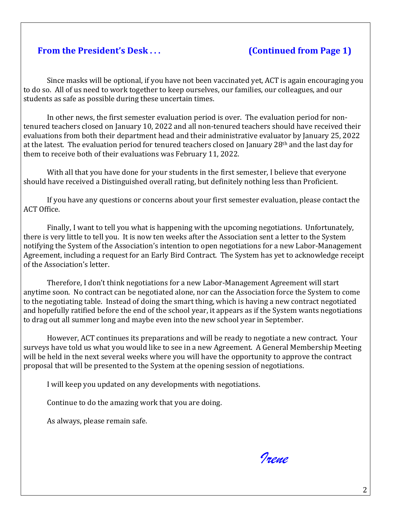#### **From the President's Desk . . . (Continued from Page 1)**

Since masks will be optional, if you have not been vaccinated yet, ACT is again encouraging you to do so. All of us need to work together to keep ourselves, our families, our colleagues, and our students as safe as possible during these uncertain times.

In other news, the first semester evaluation period is over. The evaluation period for nontenured teachers closed on January 10, 2022 and all non-tenured teachers should have received their evaluations from both their department head and their administrative evaluator by January 25, 2022 at the latest. The evaluation period for tenured teachers closed on January  $28<sup>th</sup>$  and the last day for them to receive both of their evaluations was February 11, 2022.

With all that you have done for your students in the first semester, I believe that everyone should have received a Distinguished overall rating, but definitely nothing less than Proficient.

If you have any questions or concerns about your first semester evaluation, please contact the ACT Office.

Finally, I want to tell you what is happening with the upcoming negotiations. Unfortunately, there is very little to tell you. It is now ten weeks after the Association sent a letter to the System notifying the System of the Association's intention to open negotiations for a new Labor-Management Agreement, including a request for an Early Bird Contract. The System has yet to acknowledge receipt of the Association's letter.

Therefore, I don't think negotiations for a new Labor-Management Agreement will start anytime soon. No contract can be negotiated alone, nor can the Association force the System to come to the negotiating table. Instead of doing the smart thing, which is having a new contract negotiated and hopefully ratified before the end of the school year, it appears as if the System wants negotiations to drag out all summer long and maybe even into the new school year in September.

However, ACT continues its preparations and will be ready to negotiate a new contract. Your surveys have told us what you would like to see in a new Agreement. A General Membership Meeting will be held in the next several weeks where you will have the opportunity to approve the contract proposal that will be presented to the System at the opening session of negotiations.

I will keep you updated on any developments with negotiations.

Continue to do the amazing work that you are doing.

As always, please remain safe.

*Irene*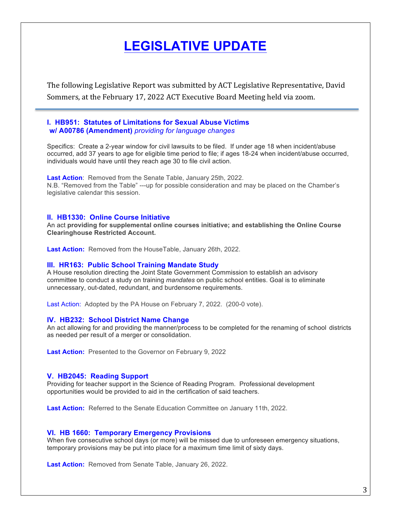### **LEGISLATIVE UPDATE**

The following Legislative Report was submitted by ACT Legislative Representative, David Sommers, at the February 17, 2022 ACT Executive Board Meeting held via zoom.

#### **I. HB951: Statutes of Limitations for Sexual Abuse Victims w/ A00786 (Amendment)** *providing for language changes*

Specifics: Create a 2-year window for civil lawsuits to be filed. If under age 18 when incident/abuse occurred, add 37 years to age for eligible time period to file; if ages 18-24 when incident/abuse occurred, individuals would have until they reach age 30 to file civil action.

**Last Action**: Removed from the Senate Table, January 25th, 2022. N.B. "Removed from the Table" ---up for possible consideration and may be placed on the Chamber's legislative calendar this session.

#### **II. HB1330: Online Course Initiative**

An act **providing for supplemental online courses initiative; and establishing the Online Course Clearinghouse Restricted Account.**

**Last Action:** Removed from the HouseTable, January 26th, 2022.

#### **III. HR163: Public School Training Mandate Study**

A House resolution directing the Joint State Government Commission to establish an advisory committee to conduct a study on training *mandates* on public school entities. Goal is to eliminate unnecessary, out-dated, redundant, and burdensome requirements.

Last Action: Adopted by the PA House on February 7, 2022. (200-0 vote).

#### **IV. HB232: School District Name Change**

An act allowing for and providing the manner/process to be completed for the renaming of school districts as needed per result of a merger or consolidation.

**Last Action:** Presented to the Governor on February 9, 2022

#### **V. HB2045: Reading Support**

Providing for teacher support in the Science of Reading Program. Professional development opportunities would be provided to aid in the certification of said teachers.

**Last Action:** Referred to the Senate Education Committee on January 11th, 2022.

#### **VI. HB 1660: Temporary Emergency Provisions**

When five consecutive school days (or more) will be missed due to unforeseen emergency situations, temporary provisions may be put into place for a maximum time limit of sixty days.

**Last Action:** Removed from Senate Table, January 26, 2022.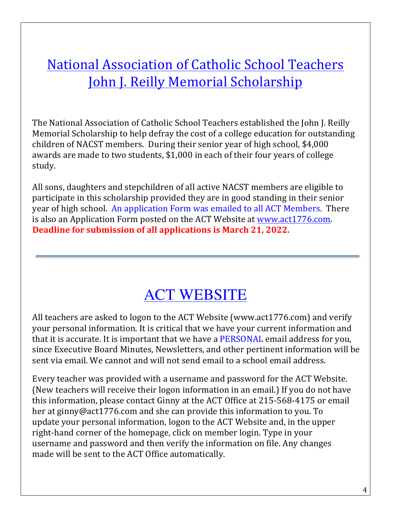## National Association of Catholic School Teachers John J. Reilly Memorial Scholarship

The National Association of Catholic School Teachers established the John J. Reilly Memorial Scholarship to help defray the cost of a college education for outstanding children of NACST members. During their senior year of high school, \$4,000 awards are made to two students, \$1,000 in each of their four years of college study.

All sons, daughters and stepchildren of all active NACST members are eligible to participate in this scholarship provided they are in good standing in their senior year of high school. An application Form was emailed to all ACT Members. There is also an Application Form posted on the ACT Website at www.act1776.com. **Deadline for submission of all applications is March 21, 2022.** 

# ACT WEBSITE

All teachers are asked to logon to the ACT Website (www.act1776.com) and verify your personal information. It is critical that we have your current information and that it is accurate. It is important that we have a PERSONAL email address for you, since Executive Board Minutes, Newsletters, and other pertinent information will be sent via email. We cannot and will not send email to a school email address.

Every teacher was provided with a username and password for the ACT Website. (New teachers will receive their logon information in an email.) If you do not have this information, please contact Ginny at the ACT Office at 215-568-4175 or email her at ginny@act1776.com and she can provide this information to you. To update your personal information, logon to the ACT Website and, in the upper right-hand corner of the homepage, click on member login. Type in your username and password and then verify the information on file. Any changes made will be sent to the ACT Office automatically.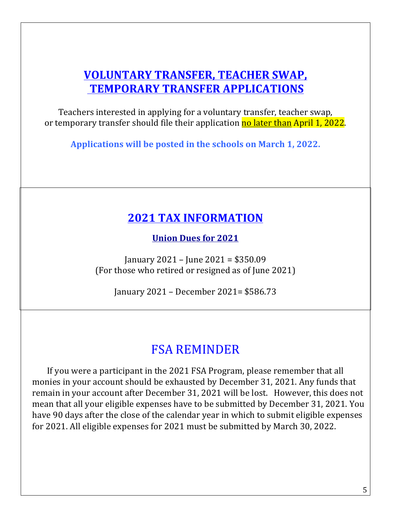### **VOLUNTARY TRANSFER, TEACHER SWAP, TEMPORARY TRANSFER APPLICATIONS**

Teachers interested in applying for a voluntary transfer, teacher swap, or temporary transfer should file their application no later than April 1, 2022.

Applications will be posted in the schools on March 1, 2022.

### **2021 TAX INFORMATION**

**Union Dues for 2021**

January  $2021 -$  June  $2021 = $350.09$ (For those who retired or resigned as of June 2021)

January 2021 – December 2021= \$586.73

### FSA REMINDER

If you were a participant in the 2021 FSA Program, please remember that all monies in your account should be exhausted by December 31, 2021. Any funds that remain in your account after December 31, 2021 will be lost. However, this does not mean that all your eligible expenses have to be submitted by December 31, 2021. You have 90 days after the close of the calendar year in which to submit eligible expenses for 2021. All eligible expenses for 2021 must be submitted by March 30, 2022.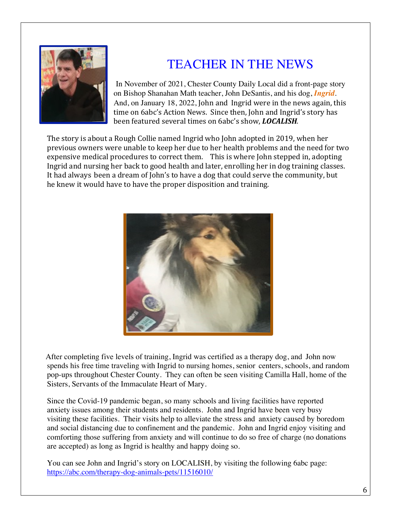

### TEACHER IN THE NEWS

In November of 2021, Chester County Daily Local did a front-page story on Bishop Shanahan Math teacher, John DeSantis, and his dog, *Ingrid*. And, on January 18, 2022, John and Ingrid were in the news again, this time on 6abc's Action News. Since then, John and Ingrid's story has been featured several times on 6abc's show, *LOCALISH*.

The story is about a Rough Collie named Ingrid who John adopted in 2019, when her previous owners were unable to keep her due to her health problems and the need for two expensive medical procedures to correct them. This is where John stepped in, adopting Ingrid and nursing her back to good health and later, enrolling her in dog training classes. It had always been a dream of John's to have a dog that could serve the community, but he knew it would have to have the proper disposition and training.



 After completing five levels of training, Ingrid was certified as a therapy dog, and John now spends his free time traveling with Ingrid to nursing homes, senior centers, schools, and random pop-ups throughout Chester County. They can often be seen visiting Camilla Hall, home of the Sisters, Servants of the Immaculate Heart of Mary.

Since the Covid-19 pandemic began, so many schools and living facilities have reported anxiety issues among their students and residents. John and Ingrid have been very busy visiting these facilities. Their visits help to alleviate the stress and anxiety caused by boredom and social distancing due to confinement and the pandemic. John and Ingrid enjoy visiting and comforting those suffering from anxiety and will continue to do so free of charge (no donations are accepted) as long as Ingrid is healthy and happy doing so.

 You can see John and Ingrid's story on LOCALISH, by visiting the following 6abc page: https://abc.com/therapy-dog-animals-pets/11516010/